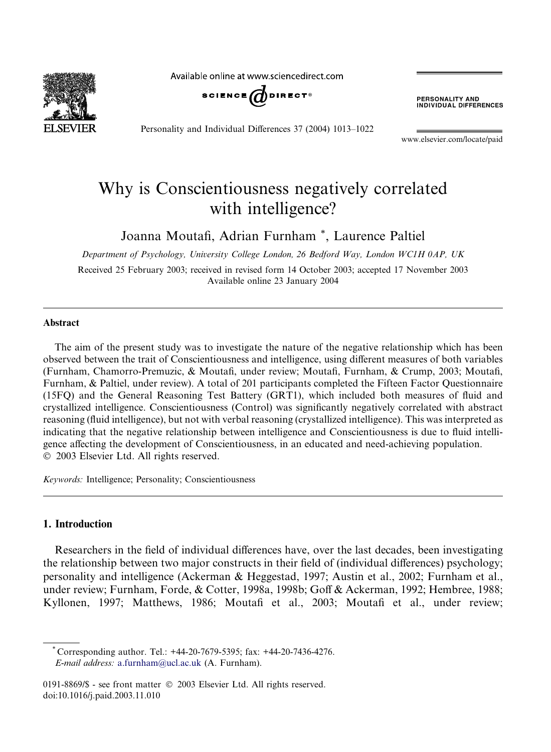

Available online at www.sciencedirect.com



Personality and Individual Differences 37 (2004) 1013–1022

**PERSONALITY AND<br>INDIVIDUAL DIFFERENCES** 

www.elsevier.com/locate/paid

# Why is Conscientiousness negatively correlated with intelligence?

Joanna Moutafi, Adrian Furnham \*, Laurence Paltiel

Department of Psychology, University College London, 26 Bedford Way, London WC1H 0AP, UK Received 25 February 2003; received in revised form 14 October 2003; accepted 17 November 2003 Available online 23 January 2004

#### Abstract

The aim of the present study was to investigate the nature of the negative relationship which has been observed between the trait of Conscientiousness and intelligence, using different measures of both variables (Furnham, Chamorro-Premuzic, & Moutafi, under review; Moutafi, Furnham, & Crump, 2003; Moutafi, Furnham, & Paltiel, under review). A total of 201 participants completed the Fifteen Factor Questionnaire (15FQ) and the General Reasoning Test Battery (GRT1), which included both measures of fluid and crystallized intelligence. Conscientiousness (Control) was significantly negatively correlated with abstract reasoning (fluid intelligence), but not with verbal reasoning (crystallized intelligence). This was interpreted as indicating that the negative relationship between intelligence and Conscientiousness is due to fluid intelligence affecting the development of Conscientiousness, in an educated and need-achieving population. 2003 Elsevier Ltd. All rights reserved.

Keywords: Intelligence; Personality; Conscientiousness

# 1. Introduction

Researchers in the field of individual differences have, over the last decades, been investigating the relationship between two major constructs in their field of (individual differences) psychology; personality and intelligence (Ackerman & Heggestad, 1997; Austin et al., 2002; Furnham et al., under review; Furnham, Forde, & Cotter, 1998a, 1998b; Goff & Ackerman, 1992; Hembree, 1988; Kyllonen, 1997; Matthews, 1986; Moutafi et al., 2003; Moutafi et al., under review;

\* Corresponding author. Tel.:  $+44-20-7679-5395$ ; fax:  $+44-20-7436-4276$ . E-mail address: [a.furnham@ucl.ac.uk](mail to: a.furnham@ucl.ac.uk) (A. Furnham).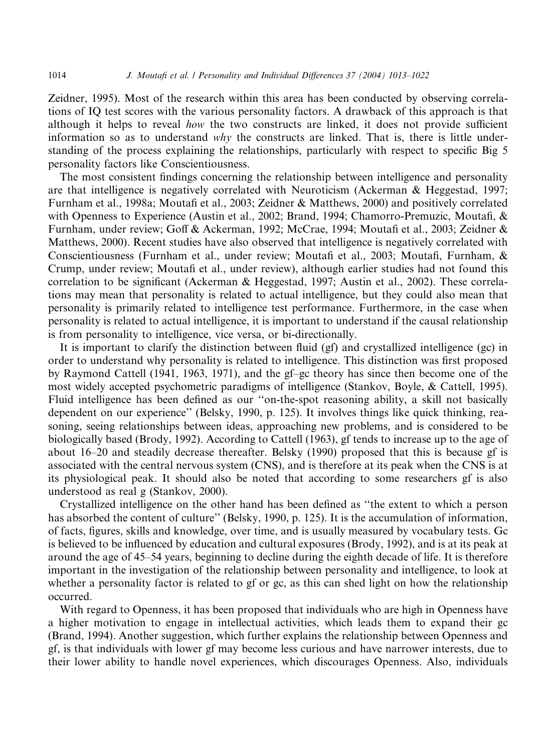Zeidner, 1995). Most of the research within this area has been conducted by observing correlations of IQ test scores with the various personality factors. A drawback of this approach is that although it helps to reveal how the two constructs are linked, it does not provide sufficient information so as to understand why the constructs are linked. That is, there is little understanding of the process explaining the relationships, particularly with respect to specific Big 5 personality factors like Conscientiousness.

The most consistent findings concerning the relationship between intelligence and personality are that intelligence is negatively correlated with Neuroticism (Ackerman & Heggestad, 1997; Furnham et al., 1998a; Moutafi et al., 2003; Zeidner & Matthews, 2000) and positively correlated with Openness to Experience (Austin et al., 2002; Brand, 1994; Chamorro-Premuzic, Moutafi, & Furnham, under review; Goff & Ackerman, 1992; McCrae, 1994; Moutafi et al., 2003; Zeidner & Matthews, 2000). Recent studies have also observed that intelligence is negatively correlated with Conscientiousness (Furnham et al., under review; Moutafi et al., 2003; Moutafi, Furnham, & Crump, under review; Moutafi et al., under review), although earlier studies had not found this correlation to be significant (Ackerman & Heggestad, 1997; Austin et al., 2002). These correlations may mean that personality is related to actual intelligence, but they could also mean that personality is primarily related to intelligence test performance. Furthermore, in the case when personality is related to actual intelligence, it is important to understand if the causal relationship is from personality to intelligence, vice versa, or bi-directionally.

It is important to clarify the distinction between fluid (gf) and crystallized intelligence (gc) in order to understand why personality is related to intelligence. This distinction was first proposed by Raymond Cattell (1941, 1963, 1971), and the gf–gc theory has since then become one of the most widely accepted psychometric paradigms of intelligence (Stankov, Boyle, & Cattell, 1995). Fluid intelligence has been defined as our ''on-the-spot reasoning ability, a skill not basically dependent on our experience'' (Belsky, 1990, p. 125). It involves things like quick thinking, reasoning, seeing relationships between ideas, approaching new problems, and is considered to be biologically based (Brody, 1992). According to Cattell (1963), gf tends to increase up to the age of about 16–20 and steadily decrease thereafter. Belsky (1990) proposed that this is because gf is associated with the central nervous system (CNS), and is therefore at its peak when the CNS is at its physiological peak. It should also be noted that according to some researchers gf is also understood as real g (Stankov, 2000).

Crystallized intelligence on the other hand has been defined as ''the extent to which a person has absorbed the content of culture'' (Belsky, 1990, p. 125). It is the accumulation of information, of facts, figures, skills and knowledge, over time, and is usually measured by vocabulary tests. Gc is believed to be influenced by education and cultural exposures (Brody, 1992), and is at its peak at around the age of 45–54 years, beginning to decline during the eighth decade of life. It is therefore important in the investigation of the relationship between personality and intelligence, to look at whether a personality factor is related to gf or gc, as this can shed light on how the relationship occurred.

With regard to Openness, it has been proposed that individuals who are high in Openness have a higher motivation to engage in intellectual activities, which leads them to expand their gc (Brand, 1994). Another suggestion, which further explains the relationship between Openness and gf, is that individuals with lower gf may become less curious and have narrower interests, due to their lower ability to handle novel experiences, which discourages Openness. Also, individuals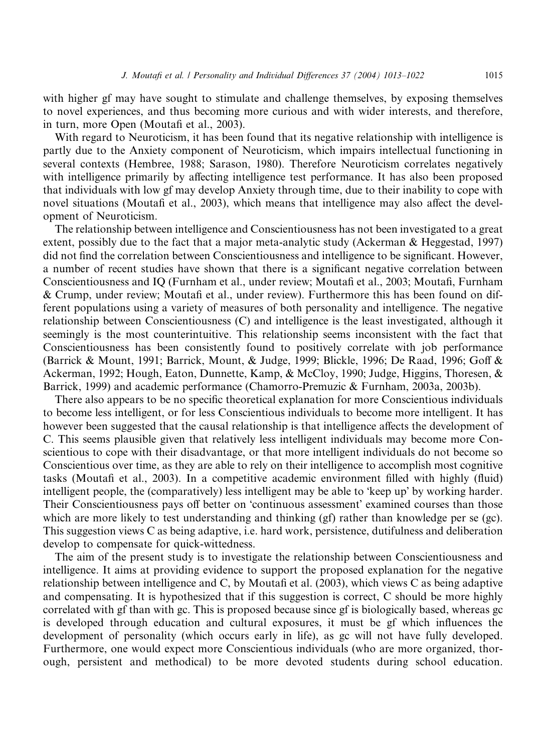with higher gf may have sought to stimulate and challenge themselves, by exposing themselves to novel experiences, and thus becoming more curious and with wider interests, and therefore, in turn, more Open (Moutafi et al., 2003).

With regard to Neuroticism, it has been found that its negative relationship with intelligence is partly due to the Anxiety component of Neuroticism, which impairs intellectual functioning in several contexts (Hembree, 1988; Sarason, 1980). Therefore Neuroticism correlates negatively with intelligence primarily by affecting intelligence test performance. It has also been proposed that individuals with low gf may develop Anxiety through time, due to their inability to cope with novel situations (Moutafi et al., 2003), which means that intelligence may also affect the development of Neuroticism.

The relationship between intelligence and Conscientiousness has not been investigated to a great extent, possibly due to the fact that a major meta-analytic study (Ackerman & Heggestad, 1997) did not find the correlation between Conscientiousness and intelligence to be significant. However, a number of recent studies have shown that there is a significant negative correlation between Conscientiousness and IQ (Furnham et al., under review; Moutafi et al., 2003; Moutafi, Furnham & Crump, under review; Moutafi et al., under review). Furthermore this has been found on different populations using a variety of measures of both personality and intelligence. The negative relationship between Conscientiousness (C) and intelligence is the least investigated, although it seemingly is the most counterintuitive. This relationship seems inconsistent with the fact that Conscientiousness has been consistently found to positively correlate with job performance (Barrick & Mount, 1991; Barrick, Mount, & Judge, 1999; Blickle, 1996; De Raad, 1996; Goff & Ackerman, 1992; Hough, Eaton, Dunnette, Kamp, & McCloy, 1990; Judge, Higgins, Thoresen, & Barrick, 1999) and academic performance (Chamorro-Premuzic & Furnham, 2003a, 2003b).

There also appears to be no specific theoretical explanation for more Conscientious individuals to become less intelligent, or for less Conscientious individuals to become more intelligent. It has however been suggested that the causal relationship is that intelligence affects the development of C. This seems plausible given that relatively less intelligent individuals may become more Conscientious to cope with their disadvantage, or that more intelligent individuals do not become so Conscientious over time, as they are able to rely on their intelligence to accomplish most cognitive tasks (Moutafi et al., 2003). In a competitive academic environment filled with highly (fluid) intelligent people, the (comparatively) less intelligent may be able to 'keep up' by working harder. Their Conscientiousness pays off better on 'continuous assessment' examined courses than those which are more likely to test understanding and thinking (gf) rather than knowledge per se (gc). This suggestion views C as being adaptive, i.e. hard work, persistence, dutifulness and deliberation develop to compensate for quick-wittedness.

The aim of the present study is to investigate the relationship between Conscientiousness and intelligence. It aims at providing evidence to support the proposed explanation for the negative relationship between intelligence and C, by Moutafi et al. (2003), which views C as being adaptive and compensating. It is hypothesized that if this suggestion is correct, C should be more highly correlated with gf than with gc. This is proposed because since gf is biologically based, whereas gc is developed through education and cultural exposures, it must be gf which influences the development of personality (which occurs early in life), as gc will not have fully developed. Furthermore, one would expect more Conscientious individuals (who are more organized, thorough, persistent and methodical) to be more devoted students during school education.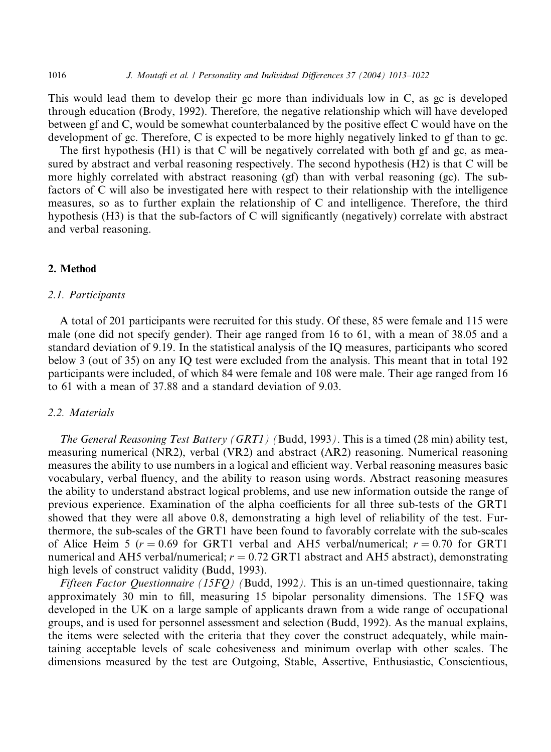This would lead them to develop their gc more than individuals low in C, as gc is developed through education (Brody, 1992). Therefore, the negative relationship which will have developed between gf and C, would be somewhat counterbalanced by the positive effect C would have on the development of gc. Therefore, C is expected to be more highly negatively linked to gf than to gc.

The first hypothesis (H1) is that C will be negatively correlated with both gf and gc, as measured by abstract and verbal reasoning respectively. The second hypothesis (H2) is that C will be more highly correlated with abstract reasoning (gf) than with verbal reasoning (gc). The subfactors of C will also be investigated here with respect to their relationship with the intelligence measures, so as to further explain the relationship of C and intelligence. Therefore, the third hypothesis (H3) is that the sub-factors of C will significantly (negatively) correlate with abstract and verbal reasoning.

## 2. Method

#### 2.1. Participants

A total of 201 participants were recruited for this study. Of these, 85 were female and 115 were male (one did not specify gender). Their age ranged from 16 to 61, with a mean of 38.05 and a standard deviation of 9.19. In the statistical analysis of the IQ measures, participants who scored below 3 (out of 35) on any IQ test were excluded from the analysis. This meant that in total 192 participants were included, of which 84 were female and 108 were male. Their age ranged from 16 to 61 with a mean of 37.88 and a standard deviation of 9.03.

# 2.2. Materials

The General Reasoning Test Battery (GRT1) (Budd, 1993). This is a timed (28 min) ability test, measuring numerical (NR2), verbal (VR2) and abstract (AR2) reasoning. Numerical reasoning measures the ability to use numbers in a logical and efficient way. Verbal reasoning measures basic vocabulary, verbal fluency, and the ability to reason using words. Abstract reasoning measures the ability to understand abstract logical problems, and use new information outside the range of previous experience. Examination of the alpha coefficients for all three sub-tests of the GRT1 showed that they were all above 0.8, demonstrating a high level of reliability of the test. Furthermore, the sub-scales of the GRT1 have been found to favorably correlate with the sub-scales of Alice Heim 5 ( $r = 0.69$  for GRT1 verbal and AH5 verbal/numerical;  $r = 0.70$  for GRT1 numerical and AH5 verbal/numerical;  $r = 0.72$  GRT1 abstract and AH5 abstract), demonstrating high levels of construct validity (Budd, 1993).

Fifteen Factor Questionnaire (15FQ) (Budd, 1992). This is an un-timed questionnaire, taking approximately 30 min to fill, measuring 15 bipolar personality dimensions. The 15FQ was developed in the UK on a large sample of applicants drawn from a wide range of occupational groups, and is used for personnel assessment and selection (Budd, 1992). As the manual explains, the items were selected with the criteria that they cover the construct adequately, while maintaining acceptable levels of scale cohesiveness and minimum overlap with other scales. The dimensions measured by the test are Outgoing, Stable, Assertive, Enthusiastic, Conscientious,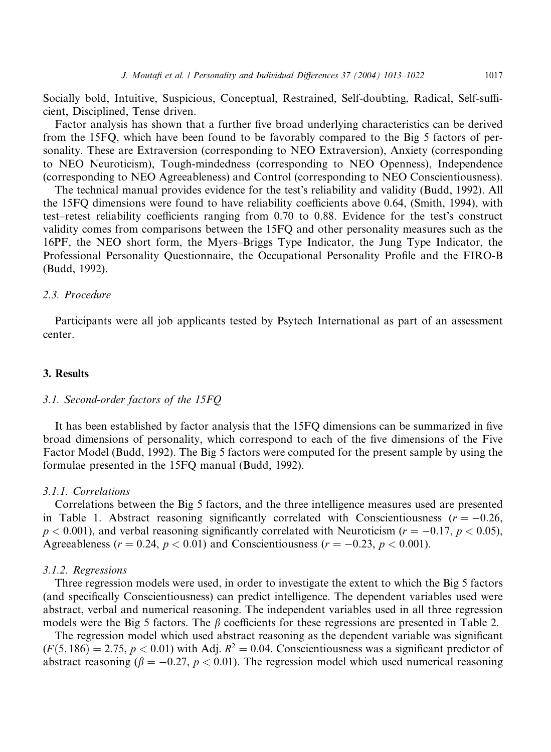Socially bold, Intuitive, Suspicious, Conceptual, Restrained, Self-doubting, Radical, Self-sufficient, Disciplined, Tense driven.

Factor analysis has shown that a further five broad underlying characteristics can be derived from the 15FQ, which have been found to be favorably compared to the Big 5 factors of personality. These are Extraversion (corresponding to NEO Extraversion), Anxiety (corresponding to NEO Neuroticism), Tough-mindedness (corresponding to NEO Openness), Independence (corresponding to NEO Agreeableness) and Control (corresponding to NEO Conscientiousness).

The technical manual provides evidence for the test's reliability and validity (Budd, 1992). All the 15FQ dimensions were found to have reliability coefficients above 0.64, (Smith, 1994), with test–retest reliability coefficients ranging from 0.70 to 0.88. Evidence for the test's construct validity comes from comparisons between the 15FQ and other personality measures such as the 16PF, the NEO short form, the Myers–Briggs Type Indicator, the Jung Type Indicator, the Professional Personality Questionnaire, the Occupational Personality Profile and the FIRO-B (Budd, 1992).

## 2.3. Procedure

Participants were all job applicants tested by Psytech International as part of an assessment center.

#### 3. Results

## 3.1. Second-order factors of the 15FQ

It has been established by factor analysis that the 15FQ dimensions can be summarized in five broad dimensions of personality, which correspond to each of the five dimensions of the Five Factor Model (Budd, 1992). The Big 5 factors were computed for the present sample by using the formulae presented in the 15FQ manual (Budd, 1992).

## 3.1.1. Correlations

Correlations between the Big 5 factors, and the three intelligence measures used are presented in Table 1. Abstract reasoning significantly correlated with Conscientiousness ( $r = -0.26$ ,  $p < 0.001$ ), and verbal reasoning significantly correlated with Neuroticism ( $r = -0.17$ ,  $p < 0.05$ ), Agreeableness ( $r = 0.24$ ,  $p < 0.01$ ) and Conscientiousness ( $r = -0.23$ ,  $p < 0.001$ ).

#### 3.1.2. Regressions

Three regression models were used, in order to investigate the extent to which the Big 5 factors (and specifically Conscientiousness) can predict intelligence. The dependent variables used were abstract, verbal and numerical reasoning. The independent variables used in all three regression models were the Big 5 factors. The  $\beta$  coefficients for these regressions are presented in Table 2.

The regression model which used abstract reasoning as the dependent variable was significant  $(F(5, 186) = 2.75, p < 0.01)$  with Adj.  $R^2 = 0.04$ . Conscientiousness was a significant predictor of abstract reasoning ( $\beta = -0.27$ ,  $p < 0.01$ ). The regression model which used numerical reasoning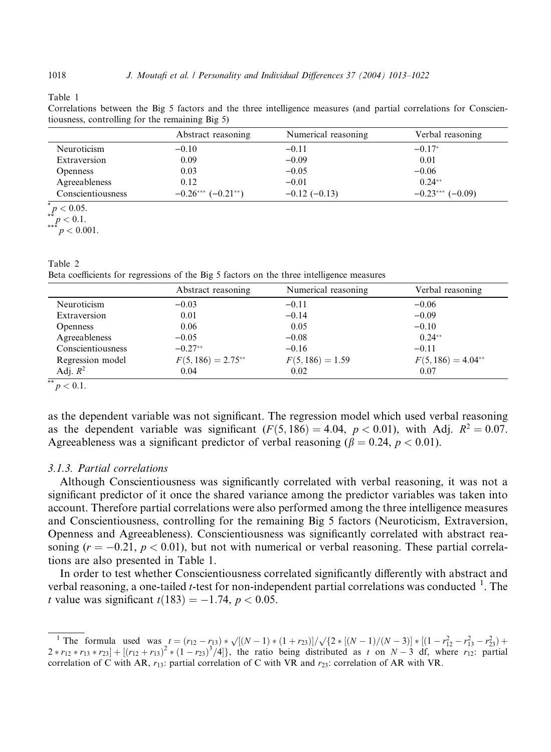#### Table 1

Correlations between the Big 5 factors and the three intelligence measures (and partial correlations for Conscientiousness, controlling for the remaining Big 5)

|                   | Abstract reasoning  | Numerical reasoning | Verbal reasoning  |
|-------------------|---------------------|---------------------|-------------------|
| Neuroticism       | $-0.10$             | $-0.11$             | $-0.17*$          |
| Extraversion      | 0.09                | $-0.09$             | 0.01              |
| <b>Openness</b>   | 0.03                | $-0.05$             | $-0.06$           |
| Agreeableness     | 0.12                | $-0.01$             | $0.24**$          |
| Conscientiousness | $-0.26***(-0.21**)$ | $-0.12(-0.13)$      | $-0.23***(-0.09)$ |

 $p < 0.05$ .<br>\*\*  $p < 0.1$ .<br>\*\*\*  $p < 0.001$ .

#### Table 2

Beta coefficients for regressions of the Big 5 factors on the three intelligence measures

|                            | Abstract reasoning      | Numerical reasoning | Verbal reasoning     |
|----------------------------|-------------------------|---------------------|----------------------|
| Neuroticism                | $-0.03$                 | $-0.11$             | $-0.06$              |
| Extraversion               | 0.01                    | $-0.14$             | $-0.09$              |
| <b>Openness</b>            | 0.06                    | 0.05                | $-0.10$              |
| Agreeableness              | $-0.05$                 | $-0.08$             | $0.24**$             |
| Conscientiousness          | $-0.27**$               | $-0.16$             | $-0.11$              |
| Regression model           | $F(5, 186) = 2.75^{**}$ | $F(5, 186) = 1.59$  | $F(5, 186) = 4.04**$ |
| Adj. $R^2$<br>and and con- | 0.04                    | 0.02                | 0.07                 |

 $p < 0.1$ .

as the dependent variable was not significant. The regression model which used verbal reasoning as the dependent variable was significant  $(F(5, 186) = 4.04, p < 0.01)$ , with Adj.  $R^2 = 0.07$ . Agreeableness was a significant predictor of verbal reasoning ( $\beta = 0.24$ ,  $p < 0.01$ ).

## 3.1.3. Partial correlations

Although Conscientiousness was significantly correlated with verbal reasoning, it was not a significant predictor of it once the shared variance among the predictor variables was taken into account. Therefore partial correlations were also performed among the three intelligence measures and Conscientiousness, controlling for the remaining Big 5 factors (Neuroticism, Extraversion, Openness and Agreeableness). Conscientiousness was significantly correlated with abstract reasoning  $(r = -0.21, p < 0.01)$ , but not with numerical or verbal reasoning. These partial correlations are also presented in Table 1.

In order to test whether Conscientiousness correlated significantly differently with abstract and verbal reasoning, a one-tailed *t*-test for non-independent partial correlations was conducted  $\frac{1}{1}$ . The t value was significant  $t(183) = -1.74$ ,  $p < 0.05$ .

<sup>&</sup>lt;sup>1</sup> The formula used was  $t = (r_{12} - r_{13}) * \sqrt{(N-1) * (1 + r_{23})} / \sqrt{2 * [(N-1)/(N-3)] * [(1 - r_{12}^2 - r_{13}^2 - r_{23}^2) + (1 - r_{12}^2 - r_{13}^2 - r_{23}^2)]}$  $2 \times r_{12} \times r_{13} \times r_{23} + [(r_{12} + r_{13})^2 \times (1 - r_{23})^3/4]$ , the ratio being distributed as t on  $N - 3$  df, where  $r_{12}$ : partial correlation of C with AR,  $r_{13}$ : partial correlation of C with VR and  $r_{23}$ : correlation of AR with VR.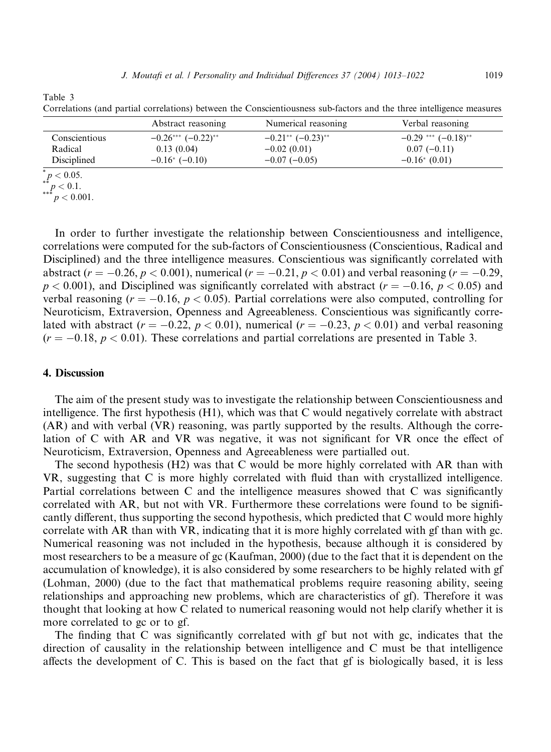Table 3

|               | Abstract reasoning  | Numerical reasoning         | Verbal reasoning         |
|---------------|---------------------|-----------------------------|--------------------------|
| Conscientious | $-0.26***(-0.22)**$ | $-0.21^{**}$ $(-0.23)^{**}$ | $-0.29$ *** $(-0.18)$ ** |
| Radical       | 0.13(0.04)          | $-0.02(0.01)$               | $0.07(-0.11)$            |
| Disciplined   | $-0.16^*$ (-0.10)   | $-0.07(-0.05)$              | $-0.16*(0.01)$           |

Correlations (and partial correlations) between the Conscientiousness sub-factors and the three intelligence measures

 $p < 0.05$ .<br>\*\*  $p < 0.1$ .<br>\*\*  $p < 0.001$ .

In order to further investigate the relationship between Conscientiousness and intelligence, correlations were computed for the sub-factors of Conscientiousness (Conscientious, Radical and Disciplined) and the three intelligence measures. Conscientious was significantly correlated with abstract ( $r = -0.26$ ,  $p < 0.001$ ), numerical ( $r = -0.21$ ,  $p < 0.01$ ) and verbal reasoning ( $r = -0.29$ ,  $p < 0.001$ ), and Disciplined was significantly correlated with abstract ( $r = -0.16$ ,  $p < 0.05$ ) and verbal reasoning ( $r = -0.16$ ,  $p < 0.05$ ). Partial correlations were also computed, controlling for Neuroticism, Extraversion, Openness and Agreeableness. Conscientious was significantly correlated with abstract  $(r = -0.22, p < 0.01)$ , numerical  $(r = -0.23, p < 0.01)$  and verbal reasoning  $(r = -0.18, p < 0.01)$ . These correlations and partial correlations are presented in Table 3.

#### 4. Discussion

The aim of the present study was to investigate the relationship between Conscientiousness and intelligence. The first hypothesis (H1), which was that C would negatively correlate with abstract (AR) and with verbal (VR) reasoning, was partly supported by the results. Although the correlation of C with AR and VR was negative, it was not significant for VR once the effect of Neuroticism, Extraversion, Openness and Agreeableness were partialled out.

The second hypothesis (H2) was that C would be more highly correlated with AR than with VR, suggesting that C is more highly correlated with fluid than with crystallized intelligence. Partial correlations between C and the intelligence measures showed that C was significantly correlated with AR, but not with VR. Furthermore these correlations were found to be significantly different, thus supporting the second hypothesis, which predicted that C would more highly correlate with AR than with VR, indicating that it is more highly correlated with gf than with gc. Numerical reasoning was not included in the hypothesis, because although it is considered by most researchers to be a measure of gc (Kaufman, 2000) (due to the fact that it is dependent on the accumulation of knowledge), it is also considered by some researchers to be highly related with gf (Lohman, 2000) (due to the fact that mathematical problems require reasoning ability, seeing relationships and approaching new problems, which are characteristics of gf). Therefore it was thought that looking at how C related to numerical reasoning would not help clarify whether it is more correlated to gc or to gf.

The finding that C was significantly correlated with gf but not with gc, indicates that the direction of causality in the relationship between intelligence and C must be that intelligence affects the development of C. This is based on the fact that gf is biologically based, it is less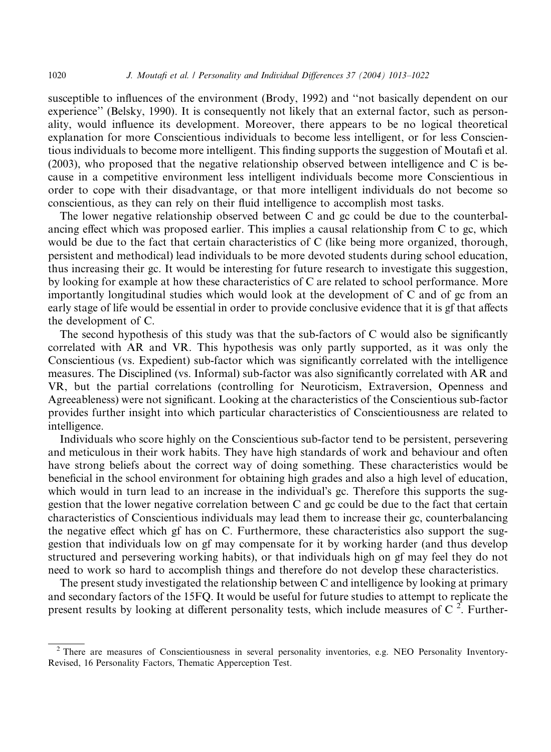susceptible to influences of the environment (Brody, 1992) and ''not basically dependent on our experience'' (Belsky, 1990). It is consequently not likely that an external factor, such as personality, would influence its development. Moreover, there appears to be no logical theoretical explanation for more Conscientious individuals to become less intelligent, or for less Conscientious individuals to become more intelligent. This finding supports the suggestion of Moutafi et al. (2003), who proposed that the negative relationship observed between intelligence and C is because in a competitive environment less intelligent individuals become more Conscientious in order to cope with their disadvantage, or that more intelligent individuals do not become so conscientious, as they can rely on their fluid intelligence to accomplish most tasks.

The lower negative relationship observed between C and gc could be due to the counterbalancing effect which was proposed earlier. This implies a causal relationship from C to gc, which would be due to the fact that certain characteristics of C (like being more organized, thorough, persistent and methodical) lead individuals to be more devoted students during school education, thus increasing their gc. It would be interesting for future research to investigate this suggestion, by looking for example at how these characteristics of C are related to school performance. More importantly longitudinal studies which would look at the development of C and of gc from an early stage of life would be essential in order to provide conclusive evidence that it is gf that affects the development of C.

The second hypothesis of this study was that the sub-factors of C would also be significantly correlated with AR and VR. This hypothesis was only partly supported, as it was only the Conscientious (vs. Expedient) sub-factor which was significantly correlated with the intelligence measures. The Disciplined (vs. Informal) sub-factor was also significantly correlated with AR and VR, but the partial correlations (controlling for Neuroticism, Extraversion, Openness and Agreeableness) were not significant. Looking at the characteristics of the Conscientious sub-factor provides further insight into which particular characteristics of Conscientiousness are related to intelligence.

Individuals who score highly on the Conscientious sub-factor tend to be persistent, persevering and meticulous in their work habits. They have high standards of work and behaviour and often have strong beliefs about the correct way of doing something. These characteristics would be beneficial in the school environment for obtaining high grades and also a high level of education, which would in turn lead to an increase in the individual's gc. Therefore this supports the suggestion that the lower negative correlation between C and gc could be due to the fact that certain characteristics of Conscientious individuals may lead them to increase their gc, counterbalancing the negative effect which gf has on C. Furthermore, these characteristics also support the suggestion that individuals low on gf may compensate for it by working harder (and thus develop structured and persevering working habits), or that individuals high on gf may feel they do not need to work so hard to accomplish things and therefore do not develop these characteristics.

The present study investigated the relationship between C and intelligence by looking at primary and secondary factors of the 15FQ. It would be useful for future studies to attempt to replicate the present results by looking at different personality tests, which include measures of C<sup>2</sup>. Further-

<sup>&</sup>lt;sup>2</sup> There are measures of Conscientiousness in several personality inventories, e.g. NEO Personality Inventory-Revised, 16 Personality Factors, Thematic Apperception Test.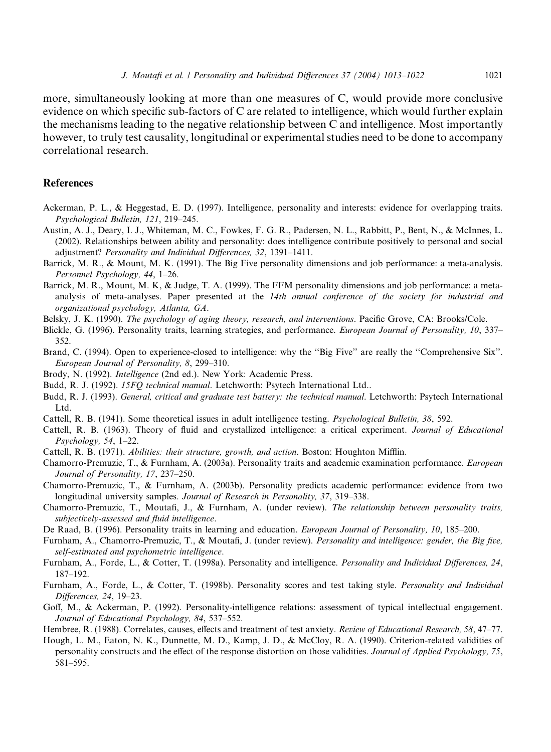more, simultaneously looking at more than one measures of C, would provide more conclusive evidence on which specific sub-factors of C are related to intelligence, which would further explain the mechanisms leading to the negative relationship between C and intelligence. Most importantly however, to truly test causality, longitudinal or experimental studies need to be done to accompany correlational research.

#### **References**

- Ackerman, P. L., & Heggestad, E. D. (1997). Intelligence, personality and interests: evidence for overlapping traits. Psychological Bulletin, 121, 219–245.
- Austin, A. J., Deary, I. J., Whiteman, M. C., Fowkes, F. G. R., Padersen, N. L., Rabbitt, P., Bent, N., & McInnes, L. (2002). Relationships between ability and personality: does intelligence contribute positively to personal and social adjustment? Personality and Individual Differences, 32, 1391–1411.
- Barrick, M. R., & Mount, M. K. (1991). The Big Five personality dimensions and job performance: a meta-analysis. Personnel Psychology, 44, 1–26.
- Barrick, M. R., Mount, M. K, & Judge, T. A. (1999). The FFM personality dimensions and job performance: a metaanalysis of meta-analyses. Paper presented at the 14th annual conference of the society for industrial and organizational psychology, Atlanta, GA.
- Belsky, J. K. (1990). The psychology of aging theory, research, and interventions. Pacific Grove, CA: Brooks/Cole.
- Blickle, G. (1996). Personality traits, learning strategies, and performance. *European Journal of Personality*, 10, 337– 352.
- Brand, C. (1994). Open to experience-closed to intelligence: why the "Big Five" are really the "Comprehensive Six". European Journal of Personality, 8, 299–310.
- Brody, N. (1992). Intelligence (2nd ed.). New York: Academic Press.
- Budd, R. J. (1992). 15FQ technical manual. Letchworth: Psytech International Ltd..
- Budd, R. J. (1993). General, critical and graduate test battery: the technical manual. Letchworth: Psytech International Ltd.
- Cattell, R. B. (1941). Some theoretical issues in adult intelligence testing. Psychological Bulletin, 38, 592.
- Cattell, R. B. (1963). Theory of fluid and crystallized intelligence: a critical experiment. Journal of Educational Psychology, 54, 1–22.
- Cattell, R. B. (1971). Abilities: their structure, growth, and action. Boston: Houghton Mifflin.
- Chamorro-Premuzic, T., & Furnham, A. (2003a). Personality traits and academic examination performance. European Journal of Personality, 17, 237–250.
- Chamorro-Premuzic, T., & Furnham, A. (2003b). Personality predicts academic performance: evidence from two longitudinal university samples. Journal of Research in Personality, 37, 319–338.
- Chamorro-Premuzic, T., Moutafi, J., & Furnham, A. (under review). The relationship between personality traits, subjectively-assessed and fluid intelligence.
- De Raad, B. (1996). Personality traits in learning and education. European Journal of Personality, 10, 185–200.
- Furnham, A., Chamorro-Premuzic, T., & Moutafi, J. (under review). Personality and intelligence: gender, the Big five, self-estimated and psychometric intelligence.
- Furnham, A., Forde, L., & Cotter, T. (1998a). Personality and intelligence. Personality and Individual Differences, 24, 187–192.
- Furnham, A., Forde, L., & Cotter, T. (1998b). Personality scores and test taking style. Personality and Individual Differences, 24, 19–23.
- Goff, M., & Ackerman, P. (1992). Personality-intelligence relations: assessment of typical intellectual engagement. Journal of Educational Psychology, 84, 537–552.
- Hembree, R. (1988). Correlates, causes, effects and treatment of test anxiety. Review of Educational Research, 58, 47–77.
- Hough, L. M., Eaton, N. K., Dunnette, M. D., Kamp, J. D., & McCloy, R. A. (1990). Criterion-related validities of personality constructs and the effect of the response distortion on those validities. Journal of Applied Psychology, 75, 581–595.